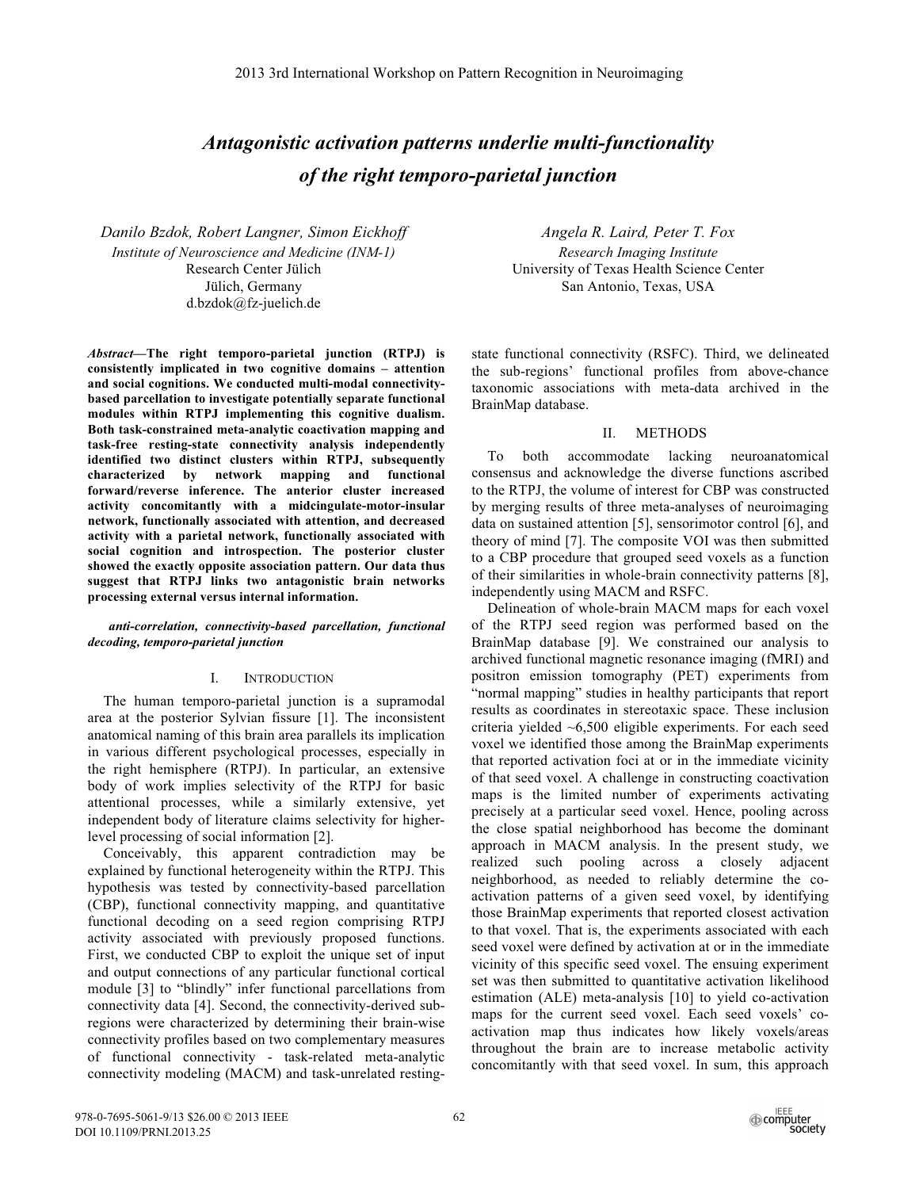# *Antagonistic activation patterns underlie multi-functionality of the right temporo-parietal junction*

*Danilo Bzdok, Robert Langner, Simon Eickhoff Institute of Neuroscience and Medicine (INM-1)*  Research Center Jülich Jülich, Germany d.bzdok@fz-juelich.de

*Abstract***—The right temporo-parietal junction (RTPJ) is consistently implicated in two cognitive domains ‒ attention and social cognitions. We conducted multi-modal connectivitybased parcellation to investigate potentially separate functional modules within RTPJ implementing this cognitive dualism. Both task-constrained meta-analytic coactivation mapping and task-free resting-state connectivity analysis independently identified two distinct clusters within RTPJ, subsequently characterized by network mapping and functional forward/reverse inference. The anterior cluster increased activity concomitantly with a midcingulate-motor-insular network, functionally associated with attention, and decreased activity with a parietal network, functionally associated with social cognition and introspection. The posterior cluster showed the exactly opposite association pattern. Our data thus suggest that RTPJ links two antagonistic brain networks processing external versus internal information.** 

*anti-correlation, connectivity-based parcellation, functional decoding, temporo-parietal junction* 

### I. INTRODUCTION

The human temporo-parietal junction is a supramodal area at the posterior Sylvian fissure [1]. The inconsistent anatomical naming of this brain area parallels its implication in various different psychological processes, especially in the right hemisphere (RTPJ). In particular, an extensive body of work implies selectivity of the RTPJ for basic attentional processes, while a similarly extensive, yet independent body of literature claims selectivity for higherlevel processing of social information [2].

Conceivably, this apparent contradiction may be explained by functional heterogeneity within the RTPJ. This hypothesis was tested by connectivity-based parcellation (CBP), functional connectivity mapping, and quantitative functional decoding on a seed region comprising RTPJ activity associated with previously proposed functions. First, we conducted CBP to exploit the unique set of input and output connections of any particular functional cortical module [3] to "blindly" infer functional parcellations from connectivity data [4]. Second, the connectivity-derived subregions were characterized by determining their brain-wise connectivity profiles based on two complementary measures of functional connectivity - task-related meta-analytic connectivity modeling (MACM) and task-unrelated resting-

*Angela R. Laird, Peter T. Fox Research Imaging Institute*  University of Texas Health Science Center San Antonio, Texas, USA

state functional connectivity (RSFC). Third, we delineated the sub-regions' functional profiles from above-chance taxonomic associations with meta-data archived in the BrainMap database.

## II. METHODS

To both accommodate lacking neuroanatomical consensus and acknowledge the diverse functions ascribed to the RTPJ, the volume of interest for CBP was constructed by merging results of three meta-analyses of neuroimaging data on sustained attention [5], sensorimotor control [6], and theory of mind [7]. The composite VOI was then submitted to a CBP procedure that grouped seed voxels as a function of their similarities in whole-brain connectivity patterns [8], independently using MACM and RSFC.

Delineation of whole-brain MACM maps for each voxel of the RTPJ seed region was performed based on the BrainMap database [9]. We constrained our analysis to archived functional magnetic resonance imaging (fMRI) and positron emission tomography (PET) experiments from "normal mapping" studies in healthy participants that report results as coordinates in stereotaxic space. These inclusion criteria yielded ~6,500 eligible experiments. For each seed voxel we identified those among the BrainMap experiments that reported activation foci at or in the immediate vicinity of that seed voxel. A challenge in constructing coactivation maps is the limited number of experiments activating precisely at a particular seed voxel. Hence, pooling across the close spatial neighborhood has become the dominant approach in MACM analysis. In the present study, we realized such pooling across a closely adjacent neighborhood, as needed to reliably determine the coactivation patterns of a given seed voxel, by identifying those BrainMap experiments that reported closest activation to that voxel. That is, the experiments associated with each seed voxel were defined by activation at or in the immediate vicinity of this specific seed voxel. The ensuing experiment set was then submitted to quantitative activation likelihood estimation (ALE) meta-analysis [10] to yield co-activation maps for the current seed voxel. Each seed voxels' coactivation map thus indicates how likely voxels/areas throughout the brain are to increase metabolic activity concomitantly with that seed voxel. In sum, this approach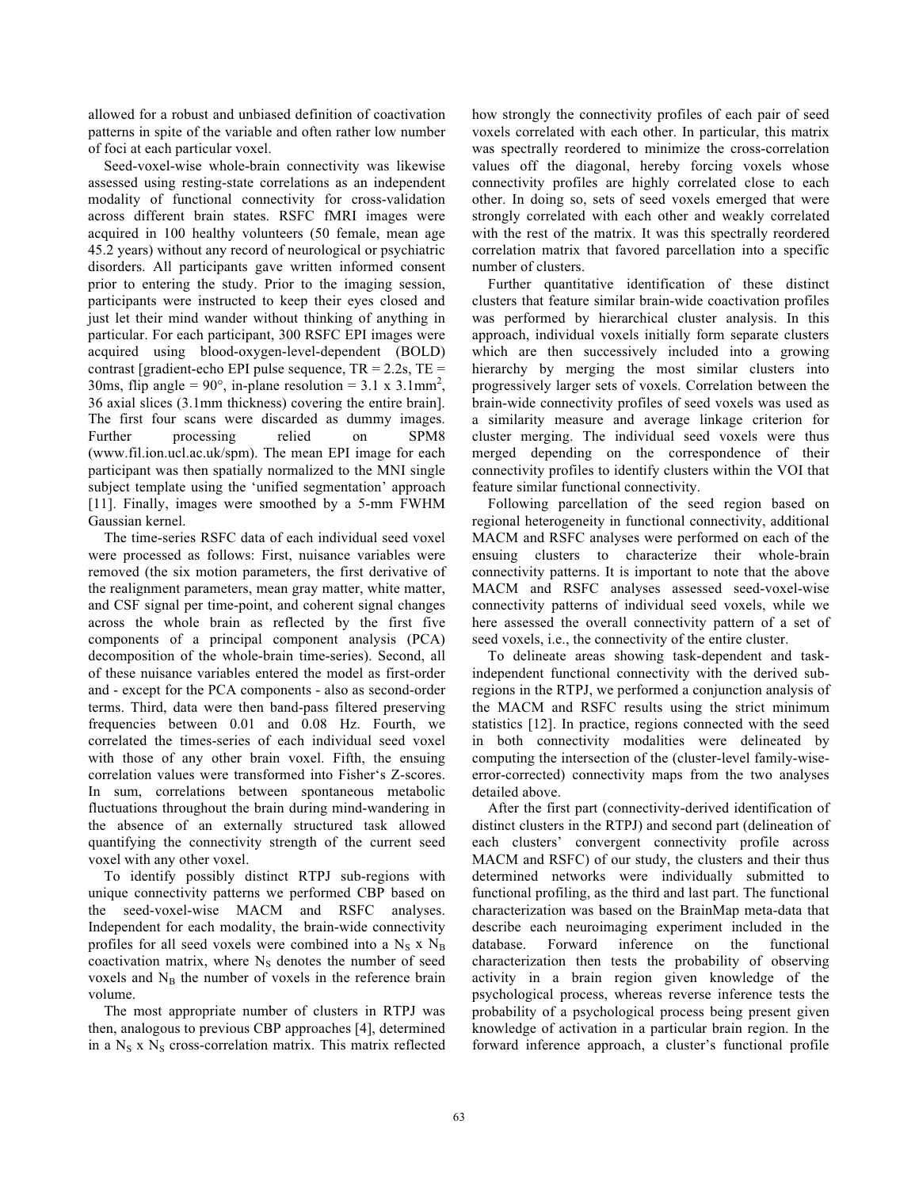allowed for a robust and unbiased definition of coactivation patterns in spite of the variable and often rather low number of foci at each particular voxel.

Seed-voxel-wise whole-brain connectivity was likewise assessed using resting-state correlations as an independent modality of functional connectivity for cross-validation across different brain states. RSFC fMRI images were acquired in 100 healthy volunteers (50 female, mean age 45.2 years) without any record of neurological or psychiatric disorders. All participants gave written informed consent prior to entering the study. Prior to the imaging session, participants were instructed to keep their eyes closed and just let their mind wander without thinking of anything in particular. For each participant, 300 RSFC EPI images were acquired using blood-oxygen-level-dependent (BOLD) contrast [gradient-echo EPI pulse sequence,  $TR = 2.2$ s,  $TE =$ 30ms, flip angle =  $90^{\circ}$ , in-plane resolution =  $3.1 \times 3.1$ mm<sup>2</sup>, 36 axial slices (3.1mm thickness) covering the entire brain]. The first four scans were discarded as dummy images. Further processing relied on SPM8 (www.fil.ion.ucl.ac.uk/spm). The mean EPI image for each participant was then spatially normalized to the MNI single subject template using the 'unified segmentation' approach [11]. Finally, images were smoothed by a 5-mm FWHM Gaussian kernel.

The time-series RSFC data of each individual seed voxel were processed as follows: First, nuisance variables were removed (the six motion parameters, the first derivative of the realignment parameters, mean gray matter, white matter, and CSF signal per time-point, and coherent signal changes across the whole brain as reflected by the first five components of a principal component analysis (PCA) decomposition of the whole-brain time-series). Second, all of these nuisance variables entered the model as first-order and - except for the PCA components - also as second-order terms. Third, data were then band-pass filtered preserving frequencies between 0.01 and 0.08 Hz. Fourth, we correlated the times-series of each individual seed voxel with those of any other brain voxel. Fifth, the ensuing correlation values were transformed into Fisher's Z-scores. In sum, correlations between spontaneous metabolic fluctuations throughout the brain during mind-wandering in the absence of an externally structured task allowed quantifying the connectivity strength of the current seed voxel with any other voxel.

To identify possibly distinct RTPJ sub-regions with unique connectivity patterns we performed CBP based on the seed-voxel-wise MACM and RSFC analyses. Independent for each modality, the brain-wide connectivity profiles for all seed voxels were combined into a  $N_S$  x  $N_B$ coactivation matrix, where  $N<sub>S</sub>$  denotes the number of seed voxels and  $N_B$  the number of voxels in the reference brain volume.

The most appropriate number of clusters in RTPJ was then, analogous to previous CBP approaches [4], determined in a  $N<sub>S</sub>$  x  $N<sub>S</sub>$  cross-correlation matrix. This matrix reflected how strongly the connectivity profiles of each pair of seed voxels correlated with each other. In particular, this matrix was spectrally reordered to minimize the cross-correlation values off the diagonal, hereby forcing voxels whose connectivity profiles are highly correlated close to each other. In doing so, sets of seed voxels emerged that were strongly correlated with each other and weakly correlated with the rest of the matrix. It was this spectrally reordered correlation matrix that favored parcellation into a specific number of clusters.

Further quantitative identification of these distinct clusters that feature similar brain-wide coactivation profiles was performed by hierarchical cluster analysis. In this approach, individual voxels initially form separate clusters which are then successively included into a growing hierarchy by merging the most similar clusters into progressively larger sets of voxels. Correlation between the brain-wide connectivity profiles of seed voxels was used as a similarity measure and average linkage criterion for cluster merging. The individual seed voxels were thus merged depending on the correspondence of their connectivity profiles to identify clusters within the VOI that feature similar functional connectivity.

Following parcellation of the seed region based on regional heterogeneity in functional connectivity, additional MACM and RSFC analyses were performed on each of the ensuing clusters to characterize their whole-brain connectivity patterns. It is important to note that the above MACM and RSFC analyses assessed seed-voxel-wise connectivity patterns of individual seed voxels, while we here assessed the overall connectivity pattern of a set of seed voxels, i.e., the connectivity of the entire cluster.

To delineate areas showing task-dependent and taskindependent functional connectivity with the derived subregions in the RTPJ, we performed a conjunction analysis of the MACM and RSFC results using the strict minimum statistics [12]. In practice, regions connected with the seed in both connectivity modalities were delineated by computing the intersection of the (cluster-level family-wiseerror-corrected) connectivity maps from the two analyses detailed above.

After the first part (connectivity-derived identification of distinct clusters in the RTPJ) and second part (delineation of each clusters' convergent connectivity profile across MACM and RSFC) of our study, the clusters and their thus determined networks were individually submitted to functional profiling, as the third and last part. The functional characterization was based on the BrainMap meta-data that describe each neuroimaging experiment included in the database. Forward inference on the functional characterization then tests the probability of observing activity in a brain region given knowledge of the psychological process, whereas reverse inference tests the probability of a psychological process being present given knowledge of activation in a particular brain region. In the forward inference approach, a cluster's functional profile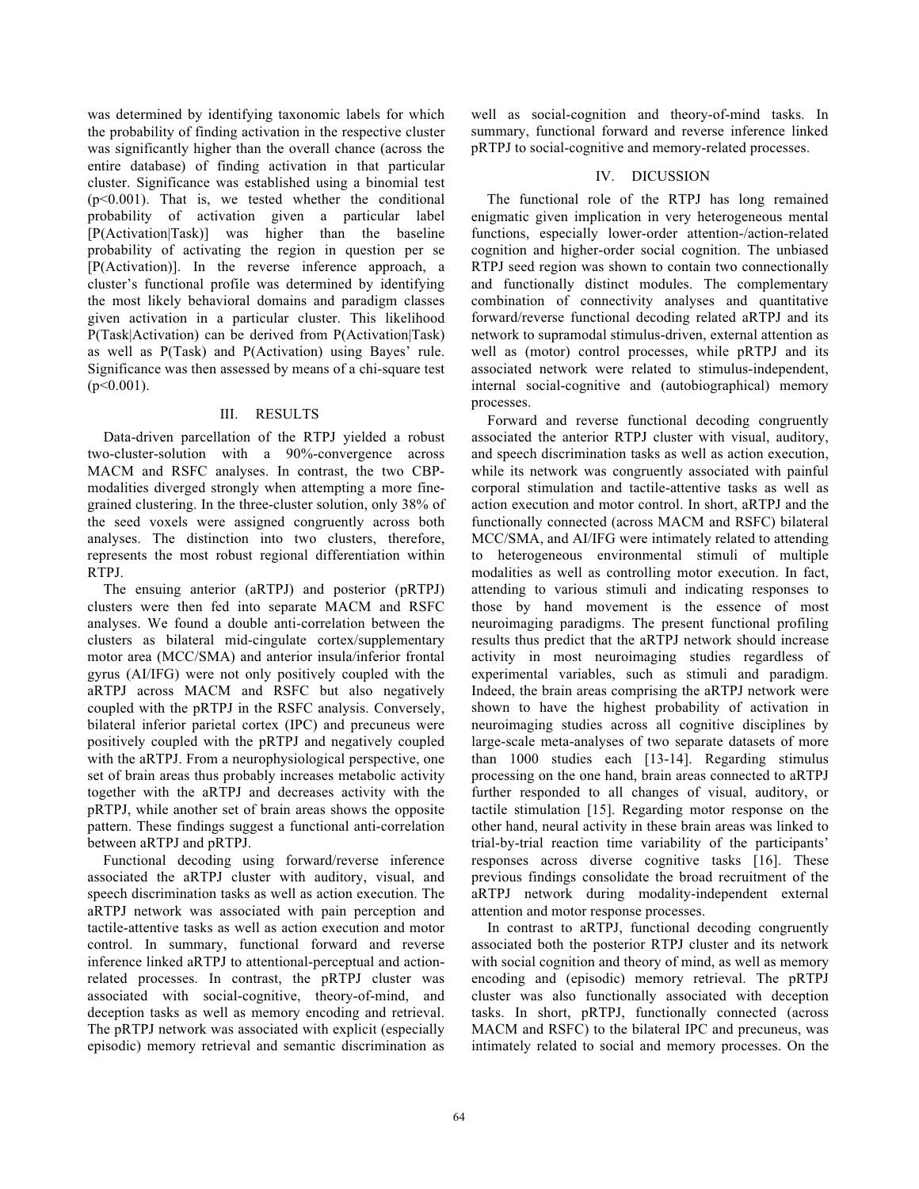was determined by identifying taxonomic labels for which the probability of finding activation in the respective cluster was significantly higher than the overall chance (across the entire database) of finding activation in that particular cluster. Significance was established using a binomial test (p<0.001). That is, we tested whether the conditional probability of activation given a particular label [P(Activation|Task)] was higher than the baseline probability of activating the region in question per se [P(Activation)]. In the reverse inference approach, a cluster's functional profile was determined by identifying the most likely behavioral domains and paradigm classes given activation in a particular cluster. This likelihood P(Task|Activation) can be derived from P(Activation|Task) as well as P(Task) and P(Activation) using Bayes' rule. Significance was then assessed by means of a chi-square test  $(p<0.001)$ .

## III. RESULTS

Data-driven parcellation of the RTPJ yielded a robust two-cluster-solution with a 90%-convergence across MACM and RSFC analyses. In contrast, the two CBPmodalities diverged strongly when attempting a more finegrained clustering. In the three-cluster solution, only 38% of the seed voxels were assigned congruently across both analyses. The distinction into two clusters, therefore, represents the most robust regional differentiation within RTPJ.

The ensuing anterior (aRTPJ) and posterior (pRTPJ) clusters were then fed into separate MACM and RSFC analyses. We found a double anti-correlation between the clusters as bilateral mid-cingulate cortex/supplementary motor area (MCC/SMA) and anterior insula/inferior frontal gyrus (AI/IFG) were not only positively coupled with the aRTPJ across MACM and RSFC but also negatively coupled with the pRTPJ in the RSFC analysis. Conversely, bilateral inferior parietal cortex (IPC) and precuneus were positively coupled with the pRTPJ and negatively coupled with the aRTPJ. From a neurophysiological perspective, one set of brain areas thus probably increases metabolic activity together with the aRTPJ and decreases activity with the pRTPJ, while another set of brain areas shows the opposite pattern. These findings suggest a functional anti-correlation between aRTPJ and pRTPJ.

Functional decoding using forward/reverse inference associated the aRTPJ cluster with auditory, visual, and speech discrimination tasks as well as action execution. The aRTPJ network was associated with pain perception and tactile-attentive tasks as well as action execution and motor control. In summary, functional forward and reverse inference linked aRTPJ to attentional-perceptual and actionrelated processes. In contrast, the pRTPJ cluster was associated with social-cognitive, theory-of-mind, and deception tasks as well as memory encoding and retrieval. The pRTPJ network was associated with explicit (especially episodic) memory retrieval and semantic discrimination as well as social-cognition and theory-of-mind tasks. In summary, functional forward and reverse inference linked pRTPJ to social-cognitive and memory-related processes.

# IV. DICUSSION

The functional role of the RTPJ has long remained enigmatic given implication in very heterogeneous mental functions, especially lower-order attention-/action-related cognition and higher-order social cognition. The unbiased RTPJ seed region was shown to contain two connectionally and functionally distinct modules. The complementary combination of connectivity analyses and quantitative forward/reverse functional decoding related aRTPJ and its network to supramodal stimulus-driven, external attention as well as (motor) control processes, while pRTPJ and its associated network were related to stimulus-independent, internal social-cognitive and (autobiographical) memory processes.

Forward and reverse functional decoding congruently associated the anterior RTPJ cluster with visual, auditory, and speech discrimination tasks as well as action execution, while its network was congruently associated with painful corporal stimulation and tactile-attentive tasks as well as action execution and motor control. In short, aRTPJ and the functionally connected (across MACM and RSFC) bilateral MCC/SMA, and AI/IFG were intimately related to attending to heterogeneous environmental stimuli of multiple modalities as well as controlling motor execution. In fact, attending to various stimuli and indicating responses to those by hand movement is the essence of most neuroimaging paradigms. The present functional profiling results thus predict that the aRTPJ network should increase activity in most neuroimaging studies regardless of experimental variables, such as stimuli and paradigm. Indeed, the brain areas comprising the aRTPJ network were shown to have the highest probability of activation in neuroimaging studies across all cognitive disciplines by large-scale meta-analyses of two separate datasets of more than 1000 studies each [13-14]. Regarding stimulus processing on the one hand, brain areas connected to aRTPJ further responded to all changes of visual, auditory, or tactile stimulation [15]. Regarding motor response on the other hand, neural activity in these brain areas was linked to trial-by-trial reaction time variability of the participants' responses across diverse cognitive tasks [16]. These previous findings consolidate the broad recruitment of the aRTPJ network during modality-independent external attention and motor response processes.

In contrast to aRTPJ, functional decoding congruently associated both the posterior RTPJ cluster and its network with social cognition and theory of mind, as well as memory encoding and (episodic) memory retrieval. The pRTPJ cluster was also functionally associated with deception tasks. In short, pRTPJ, functionally connected (across MACM and RSFC) to the bilateral IPC and precuneus, was intimately related to social and memory processes. On the